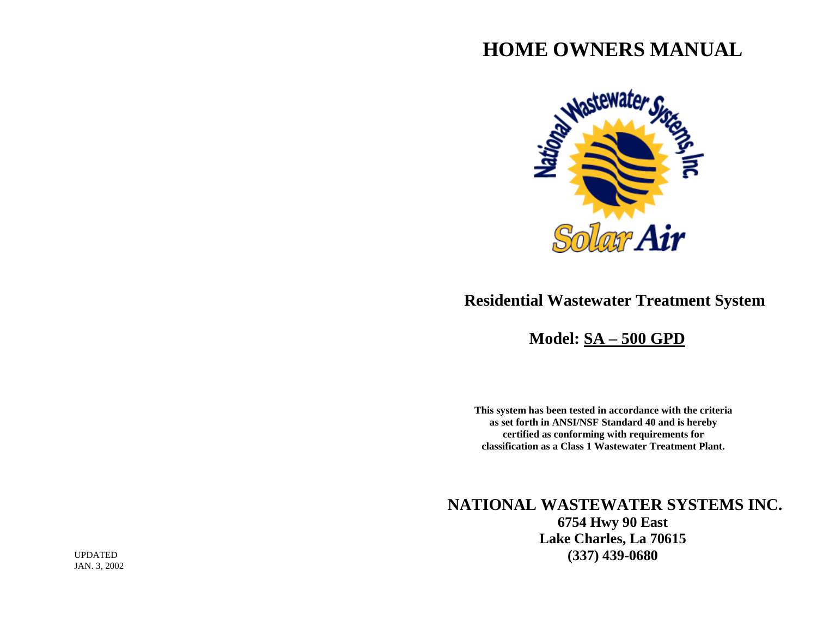# **HOME OWNERS MANUAL**



# **Residential Wastewater Treatment System**

 **Model: SA – 500 GPD**

**This system has been tested in accordance with the criteria as set forth in ANSI/NSF Standard 40 and is hereby certified as conforming with requirements for classification as a Class 1 Wastewater Treatment Plant.**

 **NATIONAL WASTEWATER SYSTEMS INC. 6754 Hwy 90 East Lake Charles, La 70615 (337) 439-0680**

UPDATED JAN. 3, 2002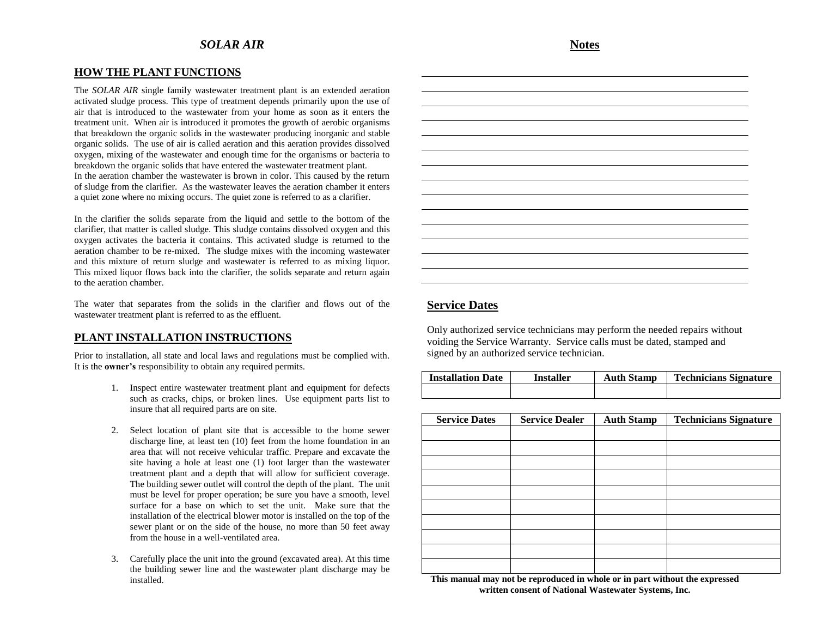#### **HOW THE PLANT FUNCTIONS**

The *SOLAR AIR* single family wastewater treatment plant is an extended aeration activated sludge process. This type of treatment depends primarily upon the use of air that is introduced to the wastewater from your home as soon as it enters the treatment unit. When air is introduced it promotes the growth of aerobic organisms that breakdown the organic solids in the wastewater producing inorganic and stable organic solids. The use of air is called aeration and this aeration provides dissolved oxygen, mixing of the wastewater and enough time for the organisms or bacteria to breakdown the organic solids that have entered the wastewater treatment plant. In the aeration chamber the wastewater is brown in color. This caused by the return of sludge from the clarifier. As the wastewater leaves the aeration chamber it enters a quiet zone where no mixing occurs. The quiet zone is referred to as a clarifier.

In the clarifier the solids separate from the liquid and settle to the bottom of the clarifier, that matter is called sludge. This sludge contains dissolved oxygen and this oxygen activates the bacteria it contains. This activated sludge is returned to the aeration chamber to be re-mixed. The sludge mixes with the incoming wastewater and this mixture of return sludge and wastewater is referred to as mixing liquor. This mixed liquor flows back into the clarifier, the solids separate and return again to the aeration chamber.

The water that separates from the solids in the clarifier and flows out of the wastewater treatment plant is referred to as the effluent.

## **PLANT INSTALLATION INSTRUCTIONS**

Prior to installation, all state and local laws and regulations must be complied with. It is the **owner's** responsibility to obtain any required permits.

- 1. Inspect entire wastewater treatment plant and equipment for defects such as cracks, chips, or broken lines. Use equipment parts list to insure that all required parts are on site.
- 2. Select location of plant site that is accessible to the home sewer discharge line, at least ten (10) feet from the home foundation in an area that will not receive vehicular traffic. Prepare and excavate the site having a hole at least one (1) foot larger than the wastewater treatment plant and a depth that will allow for sufficient coverage. The building sewer outlet will control the depth of the plant. The unit must be level for proper operation; be sure you have a smooth, level surface for a base on which to set the unit. Make sure that the installation of the electrical blower motor is installed on the top of the sewer plant or on the side of the house, no more than 50 feet away from the house in a well-ventilated area.
- 3. Carefully place the unit into the ground (excavated area). At this time the building sewer line and the wastewater plant discharge may be installed.

**Notes**

# **Service Dates**

Only authorized service technicians may perform the needed repairs without voiding the Service Warranty. Service calls must be dated, stamped and signed by an authorized service technician.

| <b>Installation Date</b> | Installer | <b>Auth Stamp</b> | <b>Technicians Signature</b> |
|--------------------------|-----------|-------------------|------------------------------|
|                          |           |                   |                              |

| <b>Service Dates</b> | <b>Service Dealer</b> | <b>Auth Stamp</b> | <b>Technicians Signature</b> |
|----------------------|-----------------------|-------------------|------------------------------|
|                      |                       |                   |                              |
|                      |                       |                   |                              |
|                      |                       |                   |                              |
|                      |                       |                   |                              |
|                      |                       |                   |                              |
|                      |                       |                   |                              |
|                      |                       |                   |                              |
|                      |                       |                   |                              |
|                      |                       |                   |                              |
|                      |                       |                   |                              |

**This manual may not be reproduced in whole or in part without the expressed written consent of National Wastewater Systems, Inc.**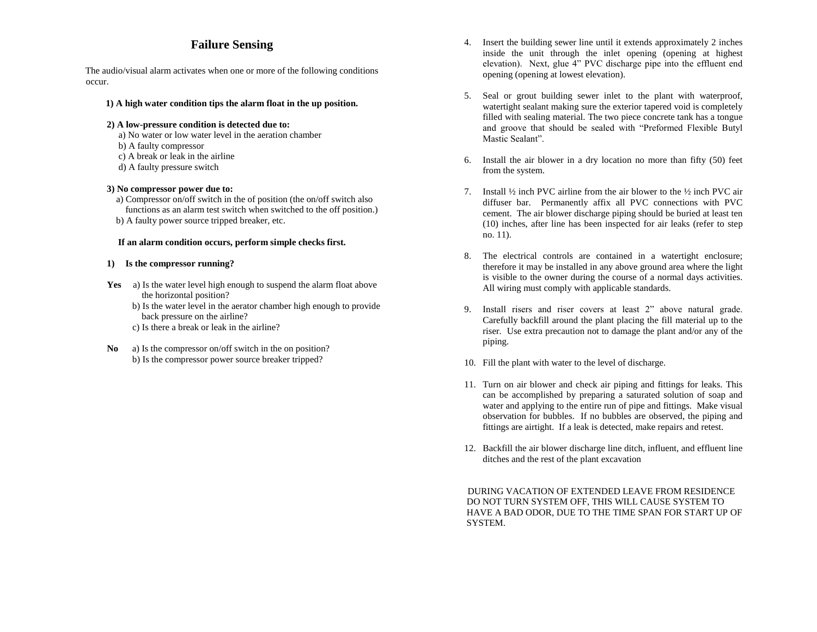# **Failure Sensing**

The audio/visual alarm activates when one or more of the following conditions occur.

- **1) A high water condition tips the alarm float in the up position.**
- **2) A low-pressure condition is detected due to:**
	- a) No water or low water level in the aeration chamber
	- b) A faulty compressor
	- c) A break or leak in the airline
	- d) A faulty pressure switch

#### **3) No compressor power due to:**

- a) Compressor on/off switch in the of position (the on/off switch also functions as an alarm test switch when switched to the off position.)
- b) A faulty power source tripped breaker, etc.

#### **If an alarm condition occurs, perform simple checks first.**

#### **1) Is the compressor running?**

- Yes a) Is the water level high enough to suspend the alarm float above the horizontal position?
	- b) Is the water level in the aerator chamber high enough to provide back pressure on the airline?
	- c) Is there a break or leak in the airline?
- **No** a) Is the compressor on/off switch in the on position? b) Is the compressor power source breaker tripped?
- 4. Insert the building sewer line until it extends approximately 2 inches inside the unit through the inlet opening (opening at highest elevation). Next, glue 4" PVC discharge pipe into the effluent end opening (opening at lowest elevation).
- 5. Seal or grout building sewer inlet to the plant with waterproof, watertight sealant making sure the exterior tapered void is completely filled with sealing material. The two piece concrete tank has a tongue and groove that should be sealed with "Preformed Flexible Butyl Mastic Sealant".
- 6. Install the air blower in a dry location no more than fifty (50) feet from the system.
- 7. Install  $\frac{1}{2}$  inch PVC airline from the air blower to the  $\frac{1}{2}$  inch PVC air diffuser bar. Permanently affix all PVC connections with PVC cement. The air blower discharge piping should be buried at least ten (10) inches, after line has been inspected for air leaks (refer to step no. 11).
- 8. The electrical controls are contained in a watertight enclosure; therefore it may be installed in any above ground area where the light is visible to the owner during the course of a normal days activities. All wiring must comply with applicable standards.
- 9. Install risers and riser covers at least 2" above natural grade. Carefully backfill around the plant placing the fill material up to the riser. Use extra precaution not to damage the plant and/or any of the piping.
- 10. Fill the plant with water to the level of discharge.
- 11. Turn on air blower and check air piping and fittings for leaks. This can be accomplished by preparing a saturated solution of soap and water and applying to the entire run of pipe and fittings. Make visual observation for bubbles. If no bubbles are observed, the piping and fittings are airtight. If a leak is detected, make repairs and retest.
- 12. Backfill the air blower discharge line ditch, influent, and effluent line ditches and the rest of the plant excavation

 DURING VACATION OF EXTENDED LEAVE FROM RESIDENCE DO NOT TURN SYSTEM OFF, THIS WILL CAUSE SYSTEM TO HAVE A BAD ODOR, DUE TO THE TIME SPAN FOR START UP OF SYSTEM.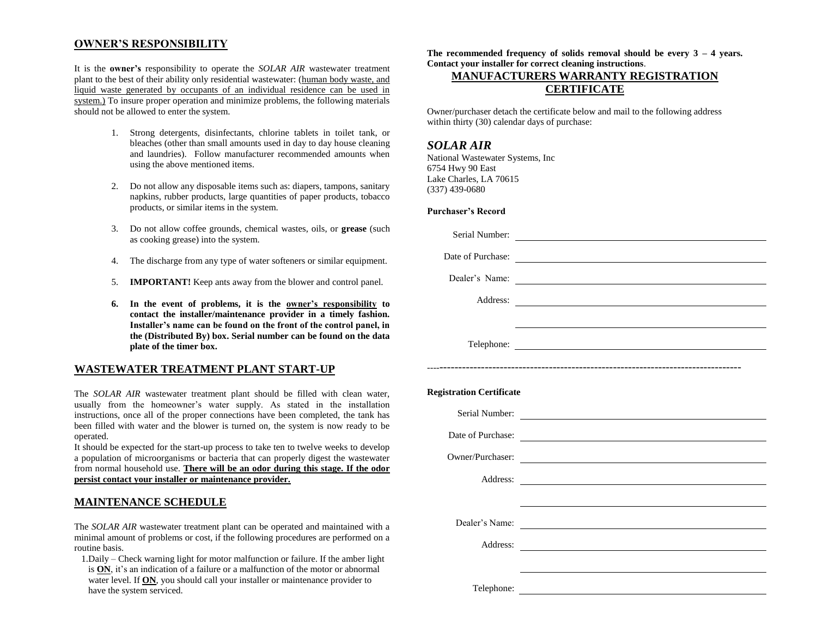### **OWNER'S RESPONSIBILITY**

It is the **owner's** responsibility to operate the *SOLAR AIR* wastewater treatment plant to the best of their ability only residential wastewater: (human body waste, and liquid waste generated by occupants of an individual residence can be used in system.) To insure proper operation and minimize problems, the following materials should not be allowed to enter the system.

- 1. Strong detergents, disinfectants, chlorine tablets in toilet tank, or bleaches (other than small amounts used in day to day house cleaning and laundries). Follow manufacturer recommended amounts when using the above mentioned items.
- 2. Do not allow any disposable items such as: diapers, tampons, sanitary napkins, rubber products, large quantities of paper products, tobacco products, or similar items in the system.
- 3. Do not allow coffee grounds, chemical wastes, oils, or **grease** (such as cooking grease) into the system.
- 4. The discharge from any type of water softeners or similar equipment.
- 5. **IMPORTANT!** Keep ants away from the blower and control panel.
- **6. In the event of problems, it is the owner's responsibility to contact the installer/maintenance provider in a timely fashion. Installer's name can be found on the front of the control panel, in the (Distributed By) box. Serial number can be found on the data plate of the timer box.**

## **WASTEWATER TREATMENT PLANT START-UP**

The *SOLAR AIR* wastewater treatment plant should be filled with clean water, usually from the homeowner's water supply. As stated in the installation instructions, once all of the proper connections have been completed, the tank has been filled with water and the blower is turned on, the system is now ready to be operated.

It should be expected for the start-up process to take ten to twelve weeks to develop a population of microorganisms or bacteria that can properly digest the wastewater from normal household use. **There will be an odor during this stage. If the odor persist contact your installer or maintenance provider.**

### **MAINTENANCE SCHEDULE**

The *SOLAR AIR* wastewater treatment plant can be operated and maintained with a minimal amount of problems or cost, if the following procedures are performed on a routine basis.

 1.Daily – Check warning light for motor malfunction or failure. If the amber light is **ON**, it's an indication of a failure or a malfunction of the motor or abnormal water level. If **ON**, you should call your installer or maintenance provider to have the system serviced.

**The recommended frequency of solids removal should be every 3 – 4 years. Contact your installer for correct cleaning instructions**.

## **MANUFACTURERS WARRANTY REGISTRATION CERTIFICATE**

Owner/purchaser detach the certificate below and mail to the following address within thirty (30) calendar days of purchase:

### *SOLAR AIR*

National Wastewater Systems, Inc 6754 Hwy 90 East Lake Charles, LA 70615 (337) 439-0680

#### **Purchaser's Record**

|                                 | Date of Purchase:                                                                                                           |
|---------------------------------|-----------------------------------------------------------------------------------------------------------------------------|
| Dealer's Name:                  | <u> Alexandria de la contrada de la contrada de la contrada de la contrada de la contrada de la contrada de la c</u>        |
| Address:                        |                                                                                                                             |
|                                 |                                                                                                                             |
|                                 |                                                                                                                             |
|                                 |                                                                                                                             |
|                                 |                                                                                                                             |
| <b>Registration Certificate</b> |                                                                                                                             |
|                                 | Serial Number:                                                                                                              |
|                                 | Date of Purchase:                                                                                                           |
| Owner/Purchaser:                | <u> 1989 - Andrea Station Barbara, amerikan personal personal personal personal personal personal personal personal per</u> |
|                                 | Address:                                                                                                                    |
|                                 |                                                                                                                             |
| Dealer's Name:                  | <u> 1989 - Andrea Andrew Maria (h. 1989).</u>                                                                               |
| Address:                        | <u> 1980 - Andrea Andrew Maria (h. 1980).</u><br>1901 - Andrew Maria (h. 1902).                                             |
|                                 |                                                                                                                             |
| Telephone:                      |                                                                                                                             |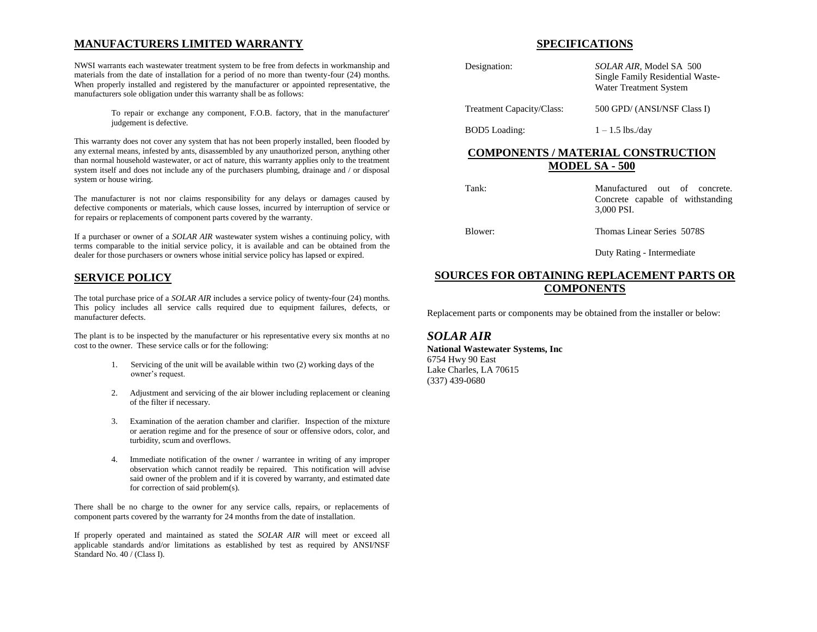## **MANUFACTURERS LIMITED WARRANTY**

NWSI warrants each wastewater treatment system to be free from defects in workmanship and materials from the date of installation for a period of no more than twenty-four (24) months. When properly installed and registered by the manufacturer or appointed representative, the manufacturers sole obligation under this warranty shall be as follows:

> To repair or exchange any component, F.O.B. factory, that in the manufacturer' judgement is defective.

This warranty does not cover any system that has not been properly installed, been flooded by any external means, infested by ants, disassembled by any unauthorized person, anything other than normal household wastewater, or act of nature, this warranty applies only to the treatment system itself and does not include any of the purchasers plumbing, drainage and / or disposal system or house wiring.

The manufacturer is not nor claims responsibility for any delays or damages caused by defective components or materials, which cause losses, incurred by interruption of service or for repairs or replacements of component parts covered by the warranty.

If a purchaser or owner of a *SOLAR AIR* wastewater system wishes a continuing policy, with terms comparable to the initial service policy, it is available and can be obtained from the dealer for those purchasers or owners whose initial service policy has lapsed or expired.

## **SERVICE POLICY**

The total purchase price of a *SOLAR AIR* includes a service policy of twenty-four (24) months. This policy includes all service calls required due to equipment failures, defects, or manufacturer defects.

The plant is to be inspected by the manufacturer or his representative every six months at no cost to the owner. These service calls or for the following:

- 1. Servicing of the unit will be available within two (2) working days of the owner's request.
- 2. Adjustment and servicing of the air blower including replacement or cleaning of the filter if necessary.
- 3. Examination of the aeration chamber and clarifier. Inspection of the mixture or aeration regime and for the presence of sour or offensive odors, color, and turbidity, scum and overflows.
- 4. Immediate notification of the owner / warrantee in writing of any improper observation which cannot readily be repaired. This notification will advise said owner of the problem and if it is covered by warranty, and estimated date for correction of said problem(s).

There shall be no charge to the owner for any service calls, repairs, or replacements of component parts covered by the warranty for 24 months from the date of installation.

If properly operated and maintained as stated the *SOLAR AIR* will meet or exceed all applicable standards and/or limitations as established by test as required by ANSI/NSF Standard No. 40 / (Class I).

#### **SPECIFICATIONS**

| Designation:              | SOLAR AIR, Model SA 500<br>Single Family Residential Waste-<br>Water Treatment System |
|---------------------------|---------------------------------------------------------------------------------------|
| Treatment Capacity/Class: | 500 GPD/ (ANSI/NSF Class I)                                                           |
| <b>BOD5</b> Loading:      | $1 - 1.5$ lbs./dav                                                                    |

## **COMPONENTS / MATERIAL CONSTRUCTION MODEL SA - 500**

Tank: Manufactured out of concrete. Concrete capable of withstanding 3,000 PSI. Blower: Thomas Linear Series 5078S

Duty Rating - Intermediate

## **SOURCES FOR OBTAINING REPLACEMENT PARTS OR COMPONENTS**

Replacement parts or components may be obtained from the installer or below:

#### *SOLAR AIR*

**National Wastewater Systems, Inc** 6754 Hwy 90 East Lake Charles, LA 70615 (337) 439-0680